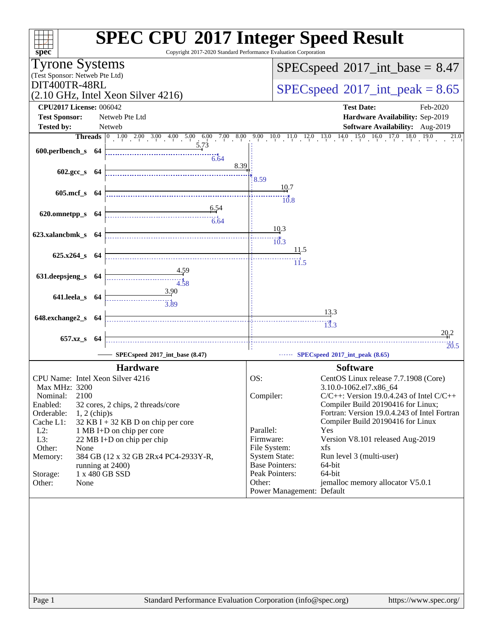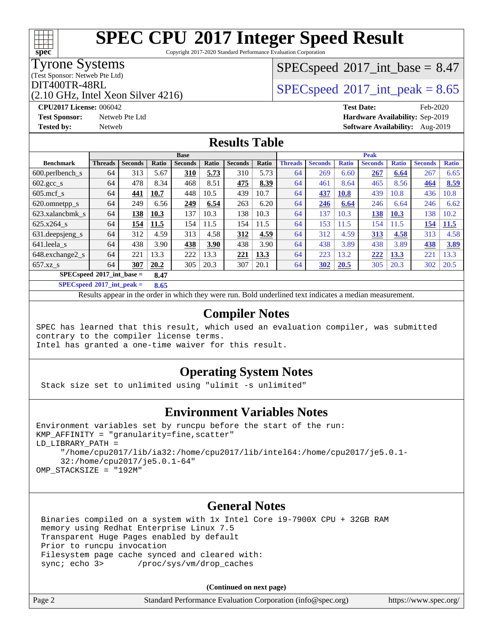Copyright 2017-2020 Standard Performance Evaluation Corporation

### Tyrone Systems

(Test Sponsor: Netweb Pte Ltd)

(2.10 GHz, Intel Xeon Silver 4216)

 $SPECspeed^{\circledcirc}2017\_int\_base = 8.47$  $SPECspeed^{\circledcirc}2017\_int\_base = 8.47$ 

DIT400TR-48RL<br>  $\begin{array}{|l|}\n\hline\n\text{OPT400TR-48RL}\n\hline\n\text{OPT400TR-48RL}\n\hline\n\end{array}$ 

**[CPU2017 License:](http://www.spec.org/auto/cpu2017/Docs/result-fields.html#CPU2017License)** 006042 **[Test Date:](http://www.spec.org/auto/cpu2017/Docs/result-fields.html#TestDate)** Feb-2020 **[Test Sponsor:](http://www.spec.org/auto/cpu2017/Docs/result-fields.html#TestSponsor)** Netweb Pte Ltd **[Hardware Availability:](http://www.spec.org/auto/cpu2017/Docs/result-fields.html#HardwareAvailability)** Sep-2019 **[Tested by:](http://www.spec.org/auto/cpu2017/Docs/result-fields.html#Testedby)** Netweb **[Software Availability:](http://www.spec.org/auto/cpu2017/Docs/result-fields.html#SoftwareAvailability)** Aug-2019

### **[Results Table](http://www.spec.org/auto/cpu2017/Docs/result-fields.html#ResultsTable)**

|                                     | <b>Base</b>    |                |              |                |       |                |       | <b>Peak</b>    |                |              |                |              |                |              |
|-------------------------------------|----------------|----------------|--------------|----------------|-------|----------------|-------|----------------|----------------|--------------|----------------|--------------|----------------|--------------|
| <b>Benchmark</b>                    | <b>Threads</b> | <b>Seconds</b> | <b>Ratio</b> | <b>Seconds</b> | Ratio | <b>Seconds</b> | Ratio | <b>Threads</b> | <b>Seconds</b> | <b>Ratio</b> | <b>Seconds</b> | <b>Ratio</b> | <b>Seconds</b> | <b>Ratio</b> |
| $600.$ perlbench $\mathsf{S}$       | 64             | 313            | 5.67         | 310            | 5.73  | 310            | 5.73  | 64             | 269            | 6.60         | 267            | 6.64         | 267            | 6.65         |
| $602.\text{gcc}\_\text{s}$          | 64             | 478            | 8.34         | 468            | 8.51  | 475            | 8.39  | 64             | 461            | 8.64         | 465            | 8.56         | 464            | 8.59         |
| $605$ .mcf s                        | 64             | 441            | 10.7         | 448            | 10.5  | 439            | 10.7  | 64             | 437            | 10.8         | 439            | 10.8         | 436            | 10.8         |
| 620.omnetpp_s                       | 64             | 249            | 6.56         | 249            | 6.54  | 263            | 6.20  | 64             | 246            | 6.64         | 246            | 6.64         | 246            | 6.62         |
| 623.xalancbmk s                     | 64             | 138            | 10.3         | 137            | 10.3  | 138            | 10.3  | 64             | 137            | 10.3         | 138            | 10.3         | 138            | 10.2         |
| 625.x264 s                          | 64             | 154            | 11.5         | 154            | 11.5  | 154            | 11.5  | 64             | 153            | 11.5         | 154            | 11.5         | 154            | 11.5         |
| 631.deepsjeng_s                     | 64             | 312            | 4.59         | 313            | 4.58  | 312            | 4.59  | 64             | 312            | 4.59         | 313            | 4.58         | 313            | 4.58         |
| 641.leela s                         | 64             | 438            | 3.90         | 438            | 3.90  | 438            | 3.90  | 64             | 438            | 3.89         | 438            | 3.89         | 438            | 3.89         |
| 648.exchange2_s                     | 64             | 221            | 13.3         | 222            | 13.3  | 221            | 13.3  | 64             | 223            | 13.2         | 222            | 13.3         | 221            | 13.3         |
| $657.xz$ s                          | 64             | 307            | 20.2         | 305            | 20.3  | 307            | 20.1  | 64             | 302            | 20.5         | 305            | 20.3         | 302            | 20.5         |
| $SPECspeed*2017$ int base =<br>8.47 |                |                |              |                |       |                |       |                |                |              |                |              |                |              |

**[SPECspeed](http://www.spec.org/auto/cpu2017/Docs/result-fields.html#SPECspeed2017intpeak)[2017\\_int\\_peak =](http://www.spec.org/auto/cpu2017/Docs/result-fields.html#SPECspeed2017intpeak) 8.65**

Results appear in the [order in which they were run.](http://www.spec.org/auto/cpu2017/Docs/result-fields.html#RunOrder) Bold underlined text [indicates a median measurement](http://www.spec.org/auto/cpu2017/Docs/result-fields.html#Median).

### **[Compiler Notes](http://www.spec.org/auto/cpu2017/Docs/result-fields.html#CompilerNotes)**

SPEC has learned that this result, which used an evaluation compiler, was submitted contrary to the compiler license terms.

Intel has granted a one-time waiver for this result.

### **[Operating System Notes](http://www.spec.org/auto/cpu2017/Docs/result-fields.html#OperatingSystemNotes)**

Stack size set to unlimited using "ulimit -s unlimited"

### **[Environment Variables Notes](http://www.spec.org/auto/cpu2017/Docs/result-fields.html#EnvironmentVariablesNotes)**

```
Environment variables set by runcpu before the start of the run:
KMP AFFINITY = "granularity=fine, scatter"
LD_LIBRARY_PATH =
      "/home/cpu2017/lib/ia32:/home/cpu2017/lib/intel64:/home/cpu2017/je5.0.1-
      32:/home/cpu2017/je5.0.1-64"
OMP_STACKSIZE = "192M"
```
### **[General Notes](http://www.spec.org/auto/cpu2017/Docs/result-fields.html#GeneralNotes)**

 Binaries compiled on a system with 1x Intel Core i9-7900X CPU + 32GB RAM memory using Redhat Enterprise Linux 7.5 Transparent Huge Pages enabled by default Prior to runcpu invocation Filesystem page cache synced and cleared with: sync; echo 3> /proc/sys/vm/drop\_caches

**(Continued on next page)**

| Page 2<br>Standard Performance Evaluation Corporation (info@spec.org) | https://www.spec.org/ |
|-----------------------------------------------------------------------|-----------------------|
|-----------------------------------------------------------------------|-----------------------|

**[spec](http://www.spec.org/)**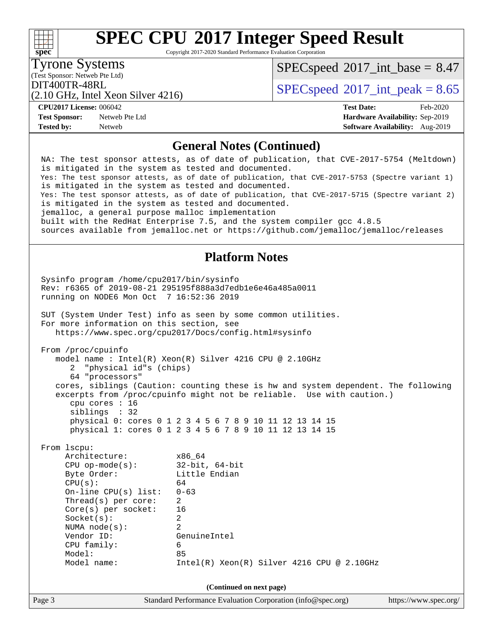Copyright 2017-2020 Standard Performance Evaluation Corporation

Tyrone Systems

**[spec](http://www.spec.org/)**

 $SPECspeed^{\circ}2017\_int\_base = 8.47$  $SPECspeed^{\circ}2017\_int\_base = 8.47$ 

(Test Sponsor: Netweb Pte Ltd)

DIT400TR-48RL<br>  $SPECspeed^{\circ}2017$  $SPECspeed^{\circ}2017$ \_int\_peak = 8.65

**[CPU2017 License:](http://www.spec.org/auto/cpu2017/Docs/result-fields.html#CPU2017License)** 006042 **[Test Date:](http://www.spec.org/auto/cpu2017/Docs/result-fields.html#TestDate)** Feb-2020

**[Test Sponsor:](http://www.spec.org/auto/cpu2017/Docs/result-fields.html#TestSponsor)** Netweb Pte Ltd **[Hardware Availability:](http://www.spec.org/auto/cpu2017/Docs/result-fields.html#HardwareAvailability)** Sep-2019 **[Tested by:](http://www.spec.org/auto/cpu2017/Docs/result-fields.html#Testedby)** Netweb **[Software Availability:](http://www.spec.org/auto/cpu2017/Docs/result-fields.html#SoftwareAvailability)** Aug-2019

(2.10 GHz, Intel Xeon Silver 4216)

### **[General Notes \(Continued\)](http://www.spec.org/auto/cpu2017/Docs/result-fields.html#GeneralNotes)**

Page 3 Standard Performance Evaluation Corporation [\(info@spec.org\)](mailto:info@spec.org) <https://www.spec.org/> NA: The test sponsor attests, as of date of publication, that CVE-2017-5754 (Meltdown) is mitigated in the system as tested and documented. Yes: The test sponsor attests, as of date of publication, that CVE-2017-5753 (Spectre variant 1) is mitigated in the system as tested and documented. Yes: The test sponsor attests, as of date of publication, that CVE-2017-5715 (Spectre variant 2) is mitigated in the system as tested and documented. jemalloc, a general purpose malloc implementation built with the RedHat Enterprise 7.5, and the system compiler gcc 4.8.5 sources available from jemalloc.net or<https://github.com/jemalloc/jemalloc/releases> **[Platform Notes](http://www.spec.org/auto/cpu2017/Docs/result-fields.html#PlatformNotes)** Sysinfo program /home/cpu2017/bin/sysinfo Rev: r6365 of 2019-08-21 295195f888a3d7edb1e6e46a485a0011 running on NODE6 Mon Oct 7 16:52:36 2019 SUT (System Under Test) info as seen by some common utilities. For more information on this section, see <https://www.spec.org/cpu2017/Docs/config.html#sysinfo> From /proc/cpuinfo model name : Intel(R) Xeon(R) Silver 4216 CPU @ 2.10GHz 2 "physical id"s (chips) 64 "processors" cores, siblings (Caution: counting these is hw and system dependent. The following excerpts from /proc/cpuinfo might not be reliable. Use with caution.) cpu cores : 16 siblings : 32 physical 0: cores 0 1 2 3 4 5 6 7 8 9 10 11 12 13 14 15 physical 1: cores 0 1 2 3 4 5 6 7 8 9 10 11 12 13 14 15 From lscpu: Architecture: x86\_64 CPU op-mode(s): 32-bit, 64-bit Byte Order: Little Endian  $CPU(s):$  64 On-line CPU(s) list: 0-63 Thread(s) per core: 2 Core(s) per socket: 16 Socket(s): 2 NUMA node(s): 2 Vendor ID: GenuineIntel CPU family: 6 Model: 85 Model name: Intel(R) Xeon(R) Silver 4216 CPU @ 2.10GHz **(Continued on next page)**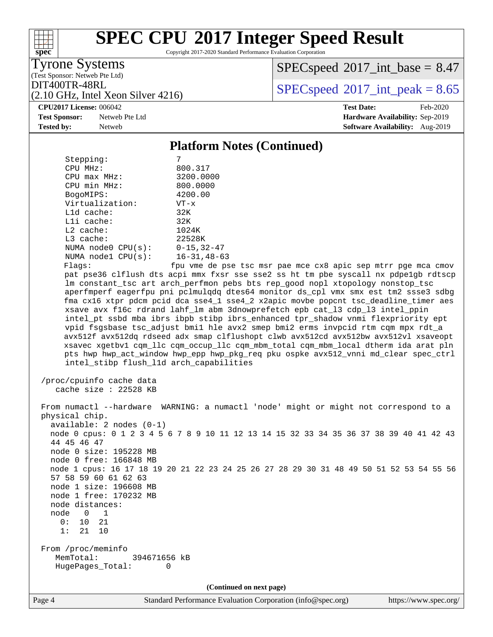Copyright 2017-2020 Standard Performance Evaluation Corporation

(Test Sponsor: Netweb Pte Ltd) Tyrone Systems

**[spec](http://www.spec.org/)**

 $SPECspeed^{\circ}2017\_int\_base = 8.47$  $SPECspeed^{\circ}2017\_int\_base = 8.47$ 

DIT400TR-48RL<br>  $SPECspeed^{\circ}2017$  $SPECspeed^{\circ}2017$ \_int\_peak = 8.65

**[Test Sponsor:](http://www.spec.org/auto/cpu2017/Docs/result-fields.html#TestSponsor)** Netweb Pte Ltd **[Hardware Availability:](http://www.spec.org/auto/cpu2017/Docs/result-fields.html#HardwareAvailability)** Sep-2019

(2.10 GHz, Intel Xeon Silver 4216)

**[CPU2017 License:](http://www.spec.org/auto/cpu2017/Docs/result-fields.html#CPU2017License)** 006042 **[Test Date:](http://www.spec.org/auto/cpu2017/Docs/result-fields.html#TestDate)** Feb-2020 **[Tested by:](http://www.spec.org/auto/cpu2017/Docs/result-fields.html#Testedby)** Netweb **[Software Availability:](http://www.spec.org/auto/cpu2017/Docs/result-fields.html#SoftwareAvailability)** Aug-2019

### **[Platform Notes \(Continued\)](http://www.spec.org/auto/cpu2017/Docs/result-fields.html#PlatformNotes)**

| Stepping:               | 7                  |
|-------------------------|--------------------|
| CPU MHz:                | 800.317            |
| $CPU$ max $MHz$ :       | 3200.0000          |
| CPU min MHz:            | 800.0000           |
| BogoMIPS:               | 4200.00            |
| Virtualization:         | $VT - x$           |
| $L1d$ cache:            | 32K                |
| $L1i$ cache:            | 32K                |
| $L2$ cache:             | 1024K              |
| $L3$ cache:             | 22528K             |
| NUMA $node0$ $CPU(s)$ : | $0 - 15, 32 - 47$  |
| NUMA $node1$ $CPU(s)$ : | $16 - 31, 48 - 63$ |
| Flanc:                  | fnu wme de nee     |

 Flags: fpu vme de pse tsc msr pae mce cx8 apic sep mtrr pge mca cmov pat pse36 clflush dts acpi mmx fxsr sse sse2 ss ht tm pbe syscall nx pdpe1gb rdtscp lm constant\_tsc art arch\_perfmon pebs bts rep\_good nopl xtopology nonstop\_tsc aperfmperf eagerfpu pni pclmulqdq dtes64 monitor ds\_cpl vmx smx est tm2 ssse3 sdbg fma cx16 xtpr pdcm pcid dca sse4\_1 sse4\_2 x2apic movbe popcnt tsc\_deadline\_timer aes xsave avx f16c rdrand lahf\_lm abm 3dnowprefetch epb cat\_l3 cdp\_l3 intel\_ppin intel\_pt ssbd mba ibrs ibpb stibp ibrs\_enhanced tpr\_shadow vnmi flexpriority ept vpid fsgsbase tsc\_adjust bmi1 hle avx2 smep bmi2 erms invpcid rtm cqm mpx rdt\_a avx512f avx512dq rdseed adx smap clflushopt clwb avx512cd avx512bw avx512vl xsaveopt xsavec xgetbv1 cqm\_llc cqm\_occup\_llc cqm\_mbm\_total cqm\_mbm\_local dtherm ida arat pln pts hwp hwp\_act\_window hwp\_epp hwp\_pkg\_req pku ospke avx512\_vnni md\_clear spec\_ctrl intel\_stibp flush\_l1d arch\_capabilities

```
 /proc/cpuinfo cache data
   cache size : 22528 KB
```
 From numactl --hardware WARNING: a numactl 'node' might or might not correspond to a physical chip. available: 2 nodes (0-1) node 0 cpus: 0 1 2 3 4 5 6 7 8 9 10 11 12 13 14 15 32 33 34 35 36 37 38 39 40 41 42 43 44 45 46 47 node 0 size: 195228 MB node 0 free: 166848 MB node 1 cpus: 16 17 18 19 20 21 22 23 24 25 26 27 28 29 30 31 48 49 50 51 52 53 54 55 56 57 58 59 60 61 62 63 node 1 size: 196608 MB node 1 free: 170232 MB node distances: node 0 1 0: 10 21 1: 21 10 From /proc/meminfo MemTotal: 394671656 kB HugePages\_Total: 0

**(Continued on next page)**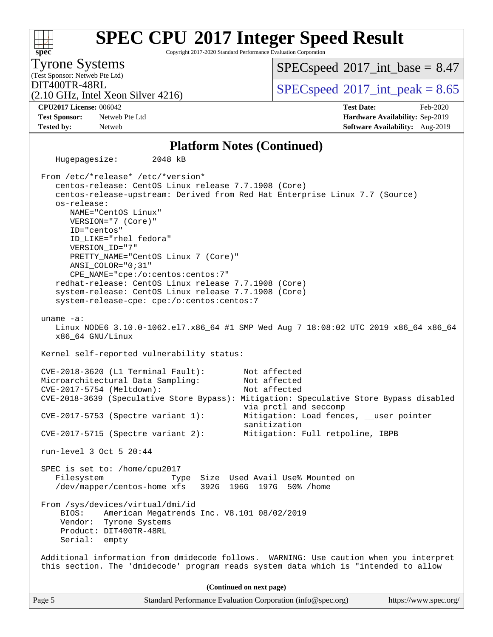#### Page 5 Standard Performance Evaluation Corporation [\(info@spec.org\)](mailto:info@spec.org) <https://www.spec.org/> **[spec](http://www.spec.org/) [SPEC CPU](http://www.spec.org/auto/cpu2017/Docs/result-fields.html#SPECCPU2017IntegerSpeedResult)[2017 Integer Speed Result](http://www.spec.org/auto/cpu2017/Docs/result-fields.html#SPECCPU2017IntegerSpeedResult)** Copyright 2017-2020 Standard Performance Evaluation Corporation (Test Sponsor: Netweb Pte Ltd) Tyrone Systems (2.10 GHz, Intel Xeon Silver 4216) DIT400TR-48RL<br>  $SPECspeed^{\circ}2017$  $SPECspeed^{\circ}2017$ \_int\_peak = 8.65  $SPECspeed^{\circ}2017\_int\_base = 8.47$  $SPECspeed^{\circ}2017\_int\_base = 8.47$ **[CPU2017 License:](http://www.spec.org/auto/cpu2017/Docs/result-fields.html#CPU2017License)** 006042 **[Test Date:](http://www.spec.org/auto/cpu2017/Docs/result-fields.html#TestDate)** Feb-2020 **[Test Sponsor:](http://www.spec.org/auto/cpu2017/Docs/result-fields.html#TestSponsor)** Netweb Pte Ltd **[Hardware Availability:](http://www.spec.org/auto/cpu2017/Docs/result-fields.html#HardwareAvailability)** Sep-2019 **[Tested by:](http://www.spec.org/auto/cpu2017/Docs/result-fields.html#Testedby)** Netweb **[Software Availability:](http://www.spec.org/auto/cpu2017/Docs/result-fields.html#SoftwareAvailability)** Aug-2019 **[Platform Notes \(Continued\)](http://www.spec.org/auto/cpu2017/Docs/result-fields.html#PlatformNotes)** Hugepagesize: 2048 kB From /etc/\*release\* /etc/\*version\* centos-release: CentOS Linux release 7.7.1908 (Core) centos-release-upstream: Derived from Red Hat Enterprise Linux 7.7 (Source) os-release: NAME="CentOS Linux" VERSION="7 (Core)" ID="centos" ID\_LIKE="rhel fedora" VERSION\_ID="7" PRETTY\_NAME="CentOS Linux 7 (Core)" ANSI\_COLOR="0;31" CPE\_NAME="cpe:/o:centos:centos:7" redhat-release: CentOS Linux release 7.7.1908 (Core) system-release: CentOS Linux release 7.7.1908 (Core) system-release-cpe: cpe:/o:centos:centos:7 uname -a: Linux NODE6 3.10.0-1062.el7.x86\_64 #1 SMP Wed Aug 7 18:08:02 UTC 2019 x86\_64 x86\_64 x86\_64 GNU/Linux Kernel self-reported vulnerability status: CVE-2018-3620 (L1 Terminal Fault): Not affected Microarchitectural Data Sampling: Not affected CVE-2017-5754 (Meltdown): Not affected CVE-2018-3639 (Speculative Store Bypass): Mitigation: Speculative Store Bypass disabled via prctl and seccomp CVE-2017-5753 (Spectre variant 1): Mitigation: Load fences, \_\_user pointer sanitization CVE-2017-5715 (Spectre variant 2): Mitigation: Full retpoline, IBPB run-level 3 Oct 5 20:44 SPEC is set to: /home/cpu2017 Filesystem Type Size Used Avail Use% Mounted on<br>
/dev/mapper/centos-home xfs 392G 196G 197G 50% /home /dev/mapper/centos-home xfs From /sys/devices/virtual/dmi/id BIOS: American Megatrends Inc. V8.101 08/02/2019 Vendor: Tyrone Systems Product: DIT400TR-48RL Serial: empty Additional information from dmidecode follows. WARNING: Use caution when you interpret this section. The 'dmidecode' program reads system data which is "intended to allow **(Continued on next page)**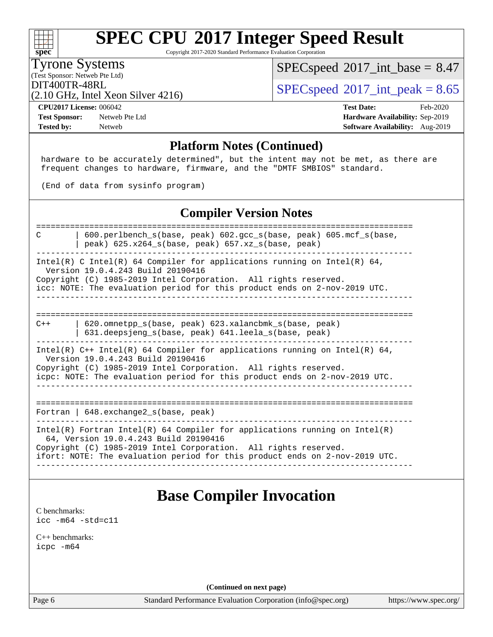Copyright 2017-2020 Standard Performance Evaluation Corporation

#### Tyrone Systems

**[spec](http://www.spec.org/)**

(Test Sponsor: Netweb Pte Ltd)

 $SPECspeed*2017\_int\_base = 8.47$  $SPECspeed*2017\_int\_base = 8.47$ 

(2.10 GHz, Intel Xeon Silver 4216)

DIT400TR-48RL<br>  $SPECspeed^{\circ}2017\_int\_peak = 8.65$  $SPECspeed^{\circ}2017\_int\_peak = 8.65$ 

**[Test Sponsor:](http://www.spec.org/auto/cpu2017/Docs/result-fields.html#TestSponsor)** Netweb Pte Ltd **[Hardware Availability:](http://www.spec.org/auto/cpu2017/Docs/result-fields.html#HardwareAvailability)** Sep-2019 **[Tested by:](http://www.spec.org/auto/cpu2017/Docs/result-fields.html#Testedby)** Netweb **[Software Availability:](http://www.spec.org/auto/cpu2017/Docs/result-fields.html#SoftwareAvailability)** Aug-2019

**[CPU2017 License:](http://www.spec.org/auto/cpu2017/Docs/result-fields.html#CPU2017License)** 006042 **[Test Date:](http://www.spec.org/auto/cpu2017/Docs/result-fields.html#TestDate)** Feb-2020

### **[Platform Notes \(Continued\)](http://www.spec.org/auto/cpu2017/Docs/result-fields.html#PlatformNotes)**

 hardware to be accurately determined", but the intent may not be met, as there are frequent changes to hardware, firmware, and the "DMTF SMBIOS" standard.

(End of data from sysinfo program)

### **[Compiler Version Notes](http://www.spec.org/auto/cpu2017/Docs/result-fields.html#CompilerVersionNotes)**

| $600.$ perlbench s(base, peak) $602.$ gcc s(base, peak) $605.$ mcf s(base,<br>C<br>peak) $625.x264$ s(base, peak) $657.xz$ s(base, peak)                                                                                                                                |
|-------------------------------------------------------------------------------------------------------------------------------------------------------------------------------------------------------------------------------------------------------------------------|
| Intel(R) C Intel(R) 64 Compiler for applications running on Intel(R) 64,<br>Version 19.0.4.243 Build 20190416<br>Copyright (C) 1985-2019 Intel Corporation. All rights reserved.<br>icc: NOTE: The evaluation period for this product ends on 2-nov-2019 UTC.           |
| 620.omnetpp s(base, peak) 623.xalancbmk s(base, peak)<br>$C++$<br>$631$ .deepsjeng s(base, peak) $641$ .leela s(base, peak)                                                                                                                                             |
| Intel(R) $C++$ Intel(R) 64 Compiler for applications running on Intel(R) 64,<br>Version 19.0.4.243 Build 20190416<br>Copyright (C) 1985-2019 Intel Corporation. All rights reserved.<br>icpc: NOTE: The evaluation period for this product ends on 2-nov-2019 UTC.      |
| Fortran   648. exchange2_s(base, peak)                                                                                                                                                                                                                                  |
| $Intel(R)$ Fortran Intel(R) 64 Compiler for applications running on Intel(R)<br>64, Version 19.0.4.243 Build 20190416<br>Copyright (C) 1985-2019 Intel Corporation. All rights reserved.<br>ifort: NOTE: The evaluation period for this product ends on 2-nov-2019 UTC. |

### **[Base Compiler Invocation](http://www.spec.org/auto/cpu2017/Docs/result-fields.html#BaseCompilerInvocation)**

[C benchmarks](http://www.spec.org/auto/cpu2017/Docs/result-fields.html#Cbenchmarks): [icc -m64 -std=c11](http://www.spec.org/cpu2017/results/res2020q1/cpu2017-20200218-20935.flags.html#user_CCbase_intel_icc_64bit_c11_33ee0cdaae7deeeab2a9725423ba97205ce30f63b9926c2519791662299b76a0318f32ddfffdc46587804de3178b4f9328c46fa7c2b0cd779d7a61945c91cd35)

[C++ benchmarks:](http://www.spec.org/auto/cpu2017/Docs/result-fields.html#CXXbenchmarks) [icpc -m64](http://www.spec.org/cpu2017/results/res2020q1/cpu2017-20200218-20935.flags.html#user_CXXbase_intel_icpc_64bit_4ecb2543ae3f1412ef961e0650ca070fec7b7afdcd6ed48761b84423119d1bf6bdf5cad15b44d48e7256388bc77273b966e5eb805aefd121eb22e9299b2ec9d9)

**(Continued on next page)**

Page 6 Standard Performance Evaluation Corporation [\(info@spec.org\)](mailto:info@spec.org) <https://www.spec.org/>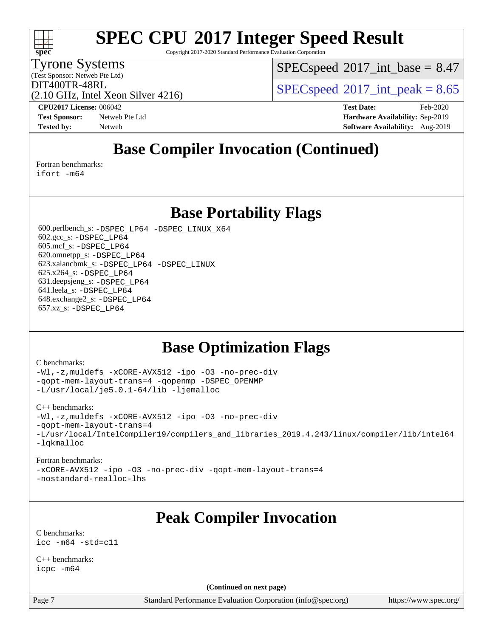Copyright 2017-2020 Standard Performance Evaluation Corporation

#### Tyrone Systems

**[spec](http://www.spec.org/)**

(Test Sponsor: Netweb Pte Ltd)

 $SPECspeed^{\circ}2017\_int\_base = 8.47$  $SPECspeed^{\circ}2017\_int\_base = 8.47$ 

(2.10 GHz, Intel Xeon Silver 4216)

DIT400TR-48RL<br>  $SPECspeed^{\circ}2017$  $SPECspeed^{\circ}2017$ \_int\_peak = 8.65

**[CPU2017 License:](http://www.spec.org/auto/cpu2017/Docs/result-fields.html#CPU2017License)** 006042 **[Test Date:](http://www.spec.org/auto/cpu2017/Docs/result-fields.html#TestDate)** Feb-2020 **[Test Sponsor:](http://www.spec.org/auto/cpu2017/Docs/result-fields.html#TestSponsor)** Netweb Pte Ltd **[Hardware Availability:](http://www.spec.org/auto/cpu2017/Docs/result-fields.html#HardwareAvailability)** Sep-2019 **[Tested by:](http://www.spec.org/auto/cpu2017/Docs/result-fields.html#Testedby)** Netweb **[Software Availability:](http://www.spec.org/auto/cpu2017/Docs/result-fields.html#SoftwareAvailability)** Aug-2019

### **[Base Compiler Invocation \(Continued\)](http://www.spec.org/auto/cpu2017/Docs/result-fields.html#BaseCompilerInvocation)**

[Fortran benchmarks](http://www.spec.org/auto/cpu2017/Docs/result-fields.html#Fortranbenchmarks):

[ifort -m64](http://www.spec.org/cpu2017/results/res2020q1/cpu2017-20200218-20935.flags.html#user_FCbase_intel_ifort_64bit_24f2bb282fbaeffd6157abe4f878425411749daecae9a33200eee2bee2fe76f3b89351d69a8130dd5949958ce389cf37ff59a95e7a40d588e8d3a57e0c3fd751)

### **[Base Portability Flags](http://www.spec.org/auto/cpu2017/Docs/result-fields.html#BasePortabilityFlags)**

 600.perlbench\_s: [-DSPEC\\_LP64](http://www.spec.org/cpu2017/results/res2020q1/cpu2017-20200218-20935.flags.html#b600.perlbench_s_basePORTABILITY_DSPEC_LP64) [-DSPEC\\_LINUX\\_X64](http://www.spec.org/cpu2017/results/res2020q1/cpu2017-20200218-20935.flags.html#b600.perlbench_s_baseCPORTABILITY_DSPEC_LINUX_X64) 602.gcc\_s: [-DSPEC\\_LP64](http://www.spec.org/cpu2017/results/res2020q1/cpu2017-20200218-20935.flags.html#suite_basePORTABILITY602_gcc_s_DSPEC_LP64) 605.mcf\_s: [-DSPEC\\_LP64](http://www.spec.org/cpu2017/results/res2020q1/cpu2017-20200218-20935.flags.html#suite_basePORTABILITY605_mcf_s_DSPEC_LP64) 620.omnetpp\_s: [-DSPEC\\_LP64](http://www.spec.org/cpu2017/results/res2020q1/cpu2017-20200218-20935.flags.html#suite_basePORTABILITY620_omnetpp_s_DSPEC_LP64) 623.xalancbmk\_s: [-DSPEC\\_LP64](http://www.spec.org/cpu2017/results/res2020q1/cpu2017-20200218-20935.flags.html#suite_basePORTABILITY623_xalancbmk_s_DSPEC_LP64) [-DSPEC\\_LINUX](http://www.spec.org/cpu2017/results/res2020q1/cpu2017-20200218-20935.flags.html#b623.xalancbmk_s_baseCXXPORTABILITY_DSPEC_LINUX) 625.x264\_s: [-DSPEC\\_LP64](http://www.spec.org/cpu2017/results/res2020q1/cpu2017-20200218-20935.flags.html#suite_basePORTABILITY625_x264_s_DSPEC_LP64) 631.deepsjeng\_s: [-DSPEC\\_LP64](http://www.spec.org/cpu2017/results/res2020q1/cpu2017-20200218-20935.flags.html#suite_basePORTABILITY631_deepsjeng_s_DSPEC_LP64) 641.leela\_s: [-DSPEC\\_LP64](http://www.spec.org/cpu2017/results/res2020q1/cpu2017-20200218-20935.flags.html#suite_basePORTABILITY641_leela_s_DSPEC_LP64) 648.exchange2\_s: [-DSPEC\\_LP64](http://www.spec.org/cpu2017/results/res2020q1/cpu2017-20200218-20935.flags.html#suite_basePORTABILITY648_exchange2_s_DSPEC_LP64) 657.xz\_s: [-DSPEC\\_LP64](http://www.spec.org/cpu2017/results/res2020q1/cpu2017-20200218-20935.flags.html#suite_basePORTABILITY657_xz_s_DSPEC_LP64)

### **[Base Optimization Flags](http://www.spec.org/auto/cpu2017/Docs/result-fields.html#BaseOptimizationFlags)**

#### [C benchmarks](http://www.spec.org/auto/cpu2017/Docs/result-fields.html#Cbenchmarks):

[-Wl,-z,muldefs](http://www.spec.org/cpu2017/results/res2020q1/cpu2017-20200218-20935.flags.html#user_CCbase_link_force_multiple1_b4cbdb97b34bdee9ceefcfe54f4c8ea74255f0b02a4b23e853cdb0e18eb4525ac79b5a88067c842dd0ee6996c24547a27a4b99331201badda8798ef8a743f577) [-xCORE-AVX512](http://www.spec.org/cpu2017/results/res2020q1/cpu2017-20200218-20935.flags.html#user_CCbase_f-xCORE-AVX512) [-ipo](http://www.spec.org/cpu2017/results/res2020q1/cpu2017-20200218-20935.flags.html#user_CCbase_f-ipo) [-O3](http://www.spec.org/cpu2017/results/res2020q1/cpu2017-20200218-20935.flags.html#user_CCbase_f-O3) [-no-prec-div](http://www.spec.org/cpu2017/results/res2020q1/cpu2017-20200218-20935.flags.html#user_CCbase_f-no-prec-div) [-qopt-mem-layout-trans=4](http://www.spec.org/cpu2017/results/res2020q1/cpu2017-20200218-20935.flags.html#user_CCbase_f-qopt-mem-layout-trans_fa39e755916c150a61361b7846f310bcdf6f04e385ef281cadf3647acec3f0ae266d1a1d22d972a7087a248fd4e6ca390a3634700869573d231a252c784941a8) [-qopenmp](http://www.spec.org/cpu2017/results/res2020q1/cpu2017-20200218-20935.flags.html#user_CCbase_qopenmp_16be0c44f24f464004c6784a7acb94aca937f053568ce72f94b139a11c7c168634a55f6653758ddd83bcf7b8463e8028bb0b48b77bcddc6b78d5d95bb1df2967) [-DSPEC\\_OPENMP](http://www.spec.org/cpu2017/results/res2020q1/cpu2017-20200218-20935.flags.html#suite_CCbase_DSPEC_OPENMP) [-L/usr/local/je5.0.1-64/lib](http://www.spec.org/cpu2017/results/res2020q1/cpu2017-20200218-20935.flags.html#user_CCbase_jemalloc_link_path64_4b10a636b7bce113509b17f3bd0d6226c5fb2346b9178c2d0232c14f04ab830f976640479e5c33dc2bcbbdad86ecfb6634cbbd4418746f06f368b512fced5394) [-ljemalloc](http://www.spec.org/cpu2017/results/res2020q1/cpu2017-20200218-20935.flags.html#user_CCbase_jemalloc_link_lib_d1249b907c500fa1c0672f44f562e3d0f79738ae9e3c4a9c376d49f265a04b9c99b167ecedbf6711b3085be911c67ff61f150a17b3472be731631ba4d0471706)

#### [C++ benchmarks:](http://www.spec.org/auto/cpu2017/Docs/result-fields.html#CXXbenchmarks)

[-Wl,-z,muldefs](http://www.spec.org/cpu2017/results/res2020q1/cpu2017-20200218-20935.flags.html#user_CXXbase_link_force_multiple1_b4cbdb97b34bdee9ceefcfe54f4c8ea74255f0b02a4b23e853cdb0e18eb4525ac79b5a88067c842dd0ee6996c24547a27a4b99331201badda8798ef8a743f577) [-xCORE-AVX512](http://www.spec.org/cpu2017/results/res2020q1/cpu2017-20200218-20935.flags.html#user_CXXbase_f-xCORE-AVX512) [-ipo](http://www.spec.org/cpu2017/results/res2020q1/cpu2017-20200218-20935.flags.html#user_CXXbase_f-ipo) [-O3](http://www.spec.org/cpu2017/results/res2020q1/cpu2017-20200218-20935.flags.html#user_CXXbase_f-O3) [-no-prec-div](http://www.spec.org/cpu2017/results/res2020q1/cpu2017-20200218-20935.flags.html#user_CXXbase_f-no-prec-div) [-qopt-mem-layout-trans=4](http://www.spec.org/cpu2017/results/res2020q1/cpu2017-20200218-20935.flags.html#user_CXXbase_f-qopt-mem-layout-trans_fa39e755916c150a61361b7846f310bcdf6f04e385ef281cadf3647acec3f0ae266d1a1d22d972a7087a248fd4e6ca390a3634700869573d231a252c784941a8) [-L/usr/local/IntelCompiler19/compilers\\_and\\_libraries\\_2019.4.243/linux/compiler/lib/intel64](http://www.spec.org/cpu2017/results/res2020q1/cpu2017-20200218-20935.flags.html#user_CXXbase_qkmalloc_link_0e25fd8d823d97a508b6b9df8c6ba8c33d724255297fd01b536ab673c8761acf6be96286bf81849ebb04c4e73d9bcd0931ac053c3251c83521d4e9ece82d3c82) [-lqkmalloc](http://www.spec.org/cpu2017/results/res2020q1/cpu2017-20200218-20935.flags.html#user_CXXbase_qkmalloc_link_lib_79a818439969f771c6bc311cfd333c00fc099dad35c030f5aab9dda831713d2015205805422f83de8875488a2991c0a156aaa600e1f9138f8fc37004abc96dc5)

#### [Fortran benchmarks:](http://www.spec.org/auto/cpu2017/Docs/result-fields.html#Fortranbenchmarks)

[-xCORE-AVX512](http://www.spec.org/cpu2017/results/res2020q1/cpu2017-20200218-20935.flags.html#user_FCbase_f-xCORE-AVX512) [-ipo](http://www.spec.org/cpu2017/results/res2020q1/cpu2017-20200218-20935.flags.html#user_FCbase_f-ipo) [-O3](http://www.spec.org/cpu2017/results/res2020q1/cpu2017-20200218-20935.flags.html#user_FCbase_f-O3) [-no-prec-div](http://www.spec.org/cpu2017/results/res2020q1/cpu2017-20200218-20935.flags.html#user_FCbase_f-no-prec-div) [-qopt-mem-layout-trans=4](http://www.spec.org/cpu2017/results/res2020q1/cpu2017-20200218-20935.flags.html#user_FCbase_f-qopt-mem-layout-trans_fa39e755916c150a61361b7846f310bcdf6f04e385ef281cadf3647acec3f0ae266d1a1d22d972a7087a248fd4e6ca390a3634700869573d231a252c784941a8) [-nostandard-realloc-lhs](http://www.spec.org/cpu2017/results/res2020q1/cpu2017-20200218-20935.flags.html#user_FCbase_f_2003_std_realloc_82b4557e90729c0f113870c07e44d33d6f5a304b4f63d4c15d2d0f1fab99f5daaed73bdb9275d9ae411527f28b936061aa8b9c8f2d63842963b95c9dd6426b8a)

### **[Peak Compiler Invocation](http://www.spec.org/auto/cpu2017/Docs/result-fields.html#PeakCompilerInvocation)**

[C benchmarks](http://www.spec.org/auto/cpu2017/Docs/result-fields.html#Cbenchmarks): [icc -m64 -std=c11](http://www.spec.org/cpu2017/results/res2020q1/cpu2017-20200218-20935.flags.html#user_CCpeak_intel_icc_64bit_c11_33ee0cdaae7deeeab2a9725423ba97205ce30f63b9926c2519791662299b76a0318f32ddfffdc46587804de3178b4f9328c46fa7c2b0cd779d7a61945c91cd35)

[C++ benchmarks:](http://www.spec.org/auto/cpu2017/Docs/result-fields.html#CXXbenchmarks) [icpc -m64](http://www.spec.org/cpu2017/results/res2020q1/cpu2017-20200218-20935.flags.html#user_CXXpeak_intel_icpc_64bit_4ecb2543ae3f1412ef961e0650ca070fec7b7afdcd6ed48761b84423119d1bf6bdf5cad15b44d48e7256388bc77273b966e5eb805aefd121eb22e9299b2ec9d9)

**(Continued on next page)**

Page 7 Standard Performance Evaluation Corporation [\(info@spec.org\)](mailto:info@spec.org) <https://www.spec.org/>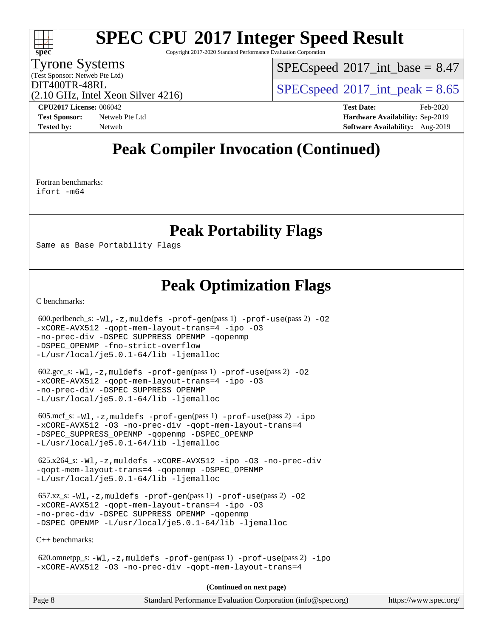Copyright 2017-2020 Standard Performance Evaluation Corporation

#### Tyrone Systems

**[spec](http://www.spec.org/)**

 $+\ +$ 

(Test Sponsor: Netweb Pte Ltd)

 $SPECspeed^{\circ}2017\_int\_base = 8.47$  $SPECspeed^{\circ}2017\_int\_base = 8.47$ 

(2.10 GHz, Intel Xeon Silver 4216)

DIT400TR-48RL<br>  $SPECspeed^{\circ}2017$  $SPECspeed^{\circ}2017$ \_int\_peak = 8.65

**[CPU2017 License:](http://www.spec.org/auto/cpu2017/Docs/result-fields.html#CPU2017License)** 006042 **[Test Date:](http://www.spec.org/auto/cpu2017/Docs/result-fields.html#TestDate)** Feb-2020

**[Test Sponsor:](http://www.spec.org/auto/cpu2017/Docs/result-fields.html#TestSponsor)** Netweb Pte Ltd **[Hardware Availability:](http://www.spec.org/auto/cpu2017/Docs/result-fields.html#HardwareAvailability)** Sep-2019 **[Tested by:](http://www.spec.org/auto/cpu2017/Docs/result-fields.html#Testedby)** Netweb **[Software Availability:](http://www.spec.org/auto/cpu2017/Docs/result-fields.html#SoftwareAvailability)** Aug-2019

### **[Peak Compiler Invocation \(Continued\)](http://www.spec.org/auto/cpu2017/Docs/result-fields.html#PeakCompilerInvocation)**

[Fortran benchmarks](http://www.spec.org/auto/cpu2017/Docs/result-fields.html#Fortranbenchmarks): [ifort -m64](http://www.spec.org/cpu2017/results/res2020q1/cpu2017-20200218-20935.flags.html#user_FCpeak_intel_ifort_64bit_24f2bb282fbaeffd6157abe4f878425411749daecae9a33200eee2bee2fe76f3b89351d69a8130dd5949958ce389cf37ff59a95e7a40d588e8d3a57e0c3fd751)

**[Peak Portability Flags](http://www.spec.org/auto/cpu2017/Docs/result-fields.html#PeakPortabilityFlags)**

Same as Base Portability Flags

### **[Peak Optimization Flags](http://www.spec.org/auto/cpu2017/Docs/result-fields.html#PeakOptimizationFlags)**

[C benchmarks](http://www.spec.org/auto/cpu2017/Docs/result-fields.html#Cbenchmarks):

 $600.$ perlbench\_s:  $-W1$ ,  $-z$ , muldefs  $-prof-gen(pass 1)$  $-prof-gen(pass 1)$   $-prof-use(pass 2)$  $-prof-use(pass 2)$  [-O2](http://www.spec.org/cpu2017/results/res2020q1/cpu2017-20200218-20935.flags.html#user_peakPASS1_COPTIMIZE600_perlbench_s_f-O2) [-xCORE-AVX512](http://www.spec.org/cpu2017/results/res2020q1/cpu2017-20200218-20935.flags.html#user_peakPASS2_COPTIMIZE600_perlbench_s_f-xCORE-AVX512) [-qopt-mem-layout-trans=4](http://www.spec.org/cpu2017/results/res2020q1/cpu2017-20200218-20935.flags.html#user_peakPASS1_COPTIMIZEPASS2_COPTIMIZE600_perlbench_s_f-qopt-mem-layout-trans_fa39e755916c150a61361b7846f310bcdf6f04e385ef281cadf3647acec3f0ae266d1a1d22d972a7087a248fd4e6ca390a3634700869573d231a252c784941a8) [-ipo](http://www.spec.org/cpu2017/results/res2020q1/cpu2017-20200218-20935.flags.html#user_peakPASS2_COPTIMIZE600_perlbench_s_f-ipo) [-O3](http://www.spec.org/cpu2017/results/res2020q1/cpu2017-20200218-20935.flags.html#user_peakPASS2_COPTIMIZE600_perlbench_s_f-O3) [-no-prec-div](http://www.spec.org/cpu2017/results/res2020q1/cpu2017-20200218-20935.flags.html#user_peakPASS2_COPTIMIZE600_perlbench_s_f-no-prec-div) [-DSPEC\\_SUPPRESS\\_OPENMP](http://www.spec.org/cpu2017/results/res2020q1/cpu2017-20200218-20935.flags.html#suite_peakPASS1_COPTIMIZE600_perlbench_s_DSPEC_SUPPRESS_OPENMP) [-qopenmp](http://www.spec.org/cpu2017/results/res2020q1/cpu2017-20200218-20935.flags.html#user_peakPASS2_COPTIMIZE600_perlbench_s_qopenmp_16be0c44f24f464004c6784a7acb94aca937f053568ce72f94b139a11c7c168634a55f6653758ddd83bcf7b8463e8028bb0b48b77bcddc6b78d5d95bb1df2967) [-DSPEC\\_OPENMP](http://www.spec.org/cpu2017/results/res2020q1/cpu2017-20200218-20935.flags.html#suite_peakPASS2_COPTIMIZE600_perlbench_s_DSPEC_OPENMP) [-fno-strict-overflow](http://www.spec.org/cpu2017/results/res2020q1/cpu2017-20200218-20935.flags.html#user_peakEXTRA_OPTIMIZE600_perlbench_s_f-fno-strict-overflow) [-L/usr/local/je5.0.1-64/lib](http://www.spec.org/cpu2017/results/res2020q1/cpu2017-20200218-20935.flags.html#user_peakEXTRA_LIBS600_perlbench_s_jemalloc_link_path64_4b10a636b7bce113509b17f3bd0d6226c5fb2346b9178c2d0232c14f04ab830f976640479e5c33dc2bcbbdad86ecfb6634cbbd4418746f06f368b512fced5394) [-ljemalloc](http://www.spec.org/cpu2017/results/res2020q1/cpu2017-20200218-20935.flags.html#user_peakEXTRA_LIBS600_perlbench_s_jemalloc_link_lib_d1249b907c500fa1c0672f44f562e3d0f79738ae9e3c4a9c376d49f265a04b9c99b167ecedbf6711b3085be911c67ff61f150a17b3472be731631ba4d0471706) 602.gcc\_s: [-Wl,-z,muldefs](http://www.spec.org/cpu2017/results/res2020q1/cpu2017-20200218-20935.flags.html#user_peakEXTRA_LDFLAGS602_gcc_s_link_force_multiple1_b4cbdb97b34bdee9ceefcfe54f4c8ea74255f0b02a4b23e853cdb0e18eb4525ac79b5a88067c842dd0ee6996c24547a27a4b99331201badda8798ef8a743f577) [-prof-gen](http://www.spec.org/cpu2017/results/res2020q1/cpu2017-20200218-20935.flags.html#user_peakPASS1_CFLAGSPASS1_LDFLAGS602_gcc_s_prof_gen_5aa4926d6013ddb2a31985c654b3eb18169fc0c6952a63635c234f711e6e63dd76e94ad52365559451ec499a2cdb89e4dc58ba4c67ef54ca681ffbe1461d6b36)(pass 1) [-prof-use](http://www.spec.org/cpu2017/results/res2020q1/cpu2017-20200218-20935.flags.html#user_peakPASS2_CFLAGSPASS2_LDFLAGS602_gcc_s_prof_use_1a21ceae95f36a2b53c25747139a6c16ca95bd9def2a207b4f0849963b97e94f5260e30a0c64f4bb623698870e679ca08317ef8150905d41bd88c6f78df73f19)(pass 2) [-O2](http://www.spec.org/cpu2017/results/res2020q1/cpu2017-20200218-20935.flags.html#user_peakPASS1_COPTIMIZE602_gcc_s_f-O2) [-xCORE-AVX512](http://www.spec.org/cpu2017/results/res2020q1/cpu2017-20200218-20935.flags.html#user_peakPASS2_COPTIMIZE602_gcc_s_f-xCORE-AVX512) [-qopt-mem-layout-trans=4](http://www.spec.org/cpu2017/results/res2020q1/cpu2017-20200218-20935.flags.html#user_peakPASS1_COPTIMIZEPASS2_COPTIMIZE602_gcc_s_f-qopt-mem-layout-trans_fa39e755916c150a61361b7846f310bcdf6f04e385ef281cadf3647acec3f0ae266d1a1d22d972a7087a248fd4e6ca390a3634700869573d231a252c784941a8) [-ipo](http://www.spec.org/cpu2017/results/res2020q1/cpu2017-20200218-20935.flags.html#user_peakPASS2_COPTIMIZE602_gcc_s_f-ipo) [-O3](http://www.spec.org/cpu2017/results/res2020q1/cpu2017-20200218-20935.flags.html#user_peakPASS2_COPTIMIZE602_gcc_s_f-O3) [-no-prec-div](http://www.spec.org/cpu2017/results/res2020q1/cpu2017-20200218-20935.flags.html#user_peakPASS2_COPTIMIZE602_gcc_s_f-no-prec-div) [-DSPEC\\_SUPPRESS\\_OPENMP](http://www.spec.org/cpu2017/results/res2020q1/cpu2017-20200218-20935.flags.html#suite_peakPASS1_COPTIMIZE602_gcc_s_DSPEC_SUPPRESS_OPENMP) [-L/usr/local/je5.0.1-64/lib](http://www.spec.org/cpu2017/results/res2020q1/cpu2017-20200218-20935.flags.html#user_peakEXTRA_LIBS602_gcc_s_jemalloc_link_path64_4b10a636b7bce113509b17f3bd0d6226c5fb2346b9178c2d0232c14f04ab830f976640479e5c33dc2bcbbdad86ecfb6634cbbd4418746f06f368b512fced5394) [-ljemalloc](http://www.spec.org/cpu2017/results/res2020q1/cpu2017-20200218-20935.flags.html#user_peakEXTRA_LIBS602_gcc_s_jemalloc_link_lib_d1249b907c500fa1c0672f44f562e3d0f79738ae9e3c4a9c376d49f265a04b9c99b167ecedbf6711b3085be911c67ff61f150a17b3472be731631ba4d0471706) 605.mcf\_s: [-Wl,-z,muldefs](http://www.spec.org/cpu2017/results/res2020q1/cpu2017-20200218-20935.flags.html#user_peakEXTRA_LDFLAGS605_mcf_s_link_force_multiple1_b4cbdb97b34bdee9ceefcfe54f4c8ea74255f0b02a4b23e853cdb0e18eb4525ac79b5a88067c842dd0ee6996c24547a27a4b99331201badda8798ef8a743f577) [-prof-gen](http://www.spec.org/cpu2017/results/res2020q1/cpu2017-20200218-20935.flags.html#user_peakPASS1_CFLAGSPASS1_LDFLAGS605_mcf_s_prof_gen_5aa4926d6013ddb2a31985c654b3eb18169fc0c6952a63635c234f711e6e63dd76e94ad52365559451ec499a2cdb89e4dc58ba4c67ef54ca681ffbe1461d6b36)(pass 1) [-prof-use](http://www.spec.org/cpu2017/results/res2020q1/cpu2017-20200218-20935.flags.html#user_peakPASS2_CFLAGSPASS2_LDFLAGS605_mcf_s_prof_use_1a21ceae95f36a2b53c25747139a6c16ca95bd9def2a207b4f0849963b97e94f5260e30a0c64f4bb623698870e679ca08317ef8150905d41bd88c6f78df73f19)(pass 2) [-ipo](http://www.spec.org/cpu2017/results/res2020q1/cpu2017-20200218-20935.flags.html#user_peakPASS1_COPTIMIZEPASS2_COPTIMIZE605_mcf_s_f-ipo) [-xCORE-AVX512](http://www.spec.org/cpu2017/results/res2020q1/cpu2017-20200218-20935.flags.html#user_peakPASS2_COPTIMIZE605_mcf_s_f-xCORE-AVX512) [-O3](http://www.spec.org/cpu2017/results/res2020q1/cpu2017-20200218-20935.flags.html#user_peakPASS1_COPTIMIZEPASS2_COPTIMIZE605_mcf_s_f-O3) [-no-prec-div](http://www.spec.org/cpu2017/results/res2020q1/cpu2017-20200218-20935.flags.html#user_peakPASS1_COPTIMIZEPASS2_COPTIMIZE605_mcf_s_f-no-prec-div) [-qopt-mem-layout-trans=4](http://www.spec.org/cpu2017/results/res2020q1/cpu2017-20200218-20935.flags.html#user_peakPASS1_COPTIMIZEPASS2_COPTIMIZE605_mcf_s_f-qopt-mem-layout-trans_fa39e755916c150a61361b7846f310bcdf6f04e385ef281cadf3647acec3f0ae266d1a1d22d972a7087a248fd4e6ca390a3634700869573d231a252c784941a8) [-DSPEC\\_SUPPRESS\\_OPENMP](http://www.spec.org/cpu2017/results/res2020q1/cpu2017-20200218-20935.flags.html#suite_peakPASS1_COPTIMIZE605_mcf_s_DSPEC_SUPPRESS_OPENMP) [-qopenmp](http://www.spec.org/cpu2017/results/res2020q1/cpu2017-20200218-20935.flags.html#user_peakPASS2_COPTIMIZE605_mcf_s_qopenmp_16be0c44f24f464004c6784a7acb94aca937f053568ce72f94b139a11c7c168634a55f6653758ddd83bcf7b8463e8028bb0b48b77bcddc6b78d5d95bb1df2967) [-DSPEC\\_OPENMP](http://www.spec.org/cpu2017/results/res2020q1/cpu2017-20200218-20935.flags.html#suite_peakPASS2_COPTIMIZE605_mcf_s_DSPEC_OPENMP) [-L/usr/local/je5.0.1-64/lib](http://www.spec.org/cpu2017/results/res2020q1/cpu2017-20200218-20935.flags.html#user_peakEXTRA_LIBS605_mcf_s_jemalloc_link_path64_4b10a636b7bce113509b17f3bd0d6226c5fb2346b9178c2d0232c14f04ab830f976640479e5c33dc2bcbbdad86ecfb6634cbbd4418746f06f368b512fced5394) [-ljemalloc](http://www.spec.org/cpu2017/results/res2020q1/cpu2017-20200218-20935.flags.html#user_peakEXTRA_LIBS605_mcf_s_jemalloc_link_lib_d1249b907c500fa1c0672f44f562e3d0f79738ae9e3c4a9c376d49f265a04b9c99b167ecedbf6711b3085be911c67ff61f150a17b3472be731631ba4d0471706) 625.x264\_s: [-Wl,-z,muldefs](http://www.spec.org/cpu2017/results/res2020q1/cpu2017-20200218-20935.flags.html#user_peakEXTRA_LDFLAGS625_x264_s_link_force_multiple1_b4cbdb97b34bdee9ceefcfe54f4c8ea74255f0b02a4b23e853cdb0e18eb4525ac79b5a88067c842dd0ee6996c24547a27a4b99331201badda8798ef8a743f577) [-xCORE-AVX512](http://www.spec.org/cpu2017/results/res2020q1/cpu2017-20200218-20935.flags.html#user_peakCOPTIMIZE625_x264_s_f-xCORE-AVX512) [-ipo](http://www.spec.org/cpu2017/results/res2020q1/cpu2017-20200218-20935.flags.html#user_peakCOPTIMIZE625_x264_s_f-ipo) [-O3](http://www.spec.org/cpu2017/results/res2020q1/cpu2017-20200218-20935.flags.html#user_peakCOPTIMIZE625_x264_s_f-O3) [-no-prec-div](http://www.spec.org/cpu2017/results/res2020q1/cpu2017-20200218-20935.flags.html#user_peakCOPTIMIZE625_x264_s_f-no-prec-div) [-qopt-mem-layout-trans=4](http://www.spec.org/cpu2017/results/res2020q1/cpu2017-20200218-20935.flags.html#user_peakCOPTIMIZE625_x264_s_f-qopt-mem-layout-trans_fa39e755916c150a61361b7846f310bcdf6f04e385ef281cadf3647acec3f0ae266d1a1d22d972a7087a248fd4e6ca390a3634700869573d231a252c784941a8) [-qopenmp](http://www.spec.org/cpu2017/results/res2020q1/cpu2017-20200218-20935.flags.html#user_peakCOPTIMIZE625_x264_s_qopenmp_16be0c44f24f464004c6784a7acb94aca937f053568ce72f94b139a11c7c168634a55f6653758ddd83bcf7b8463e8028bb0b48b77bcddc6b78d5d95bb1df2967) [-DSPEC\\_OPENMP](http://www.spec.org/cpu2017/results/res2020q1/cpu2017-20200218-20935.flags.html#suite_peakCOPTIMIZE625_x264_s_DSPEC_OPENMP) [-L/usr/local/je5.0.1-64/lib](http://www.spec.org/cpu2017/results/res2020q1/cpu2017-20200218-20935.flags.html#user_peakEXTRA_LIBS625_x264_s_jemalloc_link_path64_4b10a636b7bce113509b17f3bd0d6226c5fb2346b9178c2d0232c14f04ab830f976640479e5c33dc2bcbbdad86ecfb6634cbbd4418746f06f368b512fced5394) [-ljemalloc](http://www.spec.org/cpu2017/results/res2020q1/cpu2017-20200218-20935.flags.html#user_peakEXTRA_LIBS625_x264_s_jemalloc_link_lib_d1249b907c500fa1c0672f44f562e3d0f79738ae9e3c4a9c376d49f265a04b9c99b167ecedbf6711b3085be911c67ff61f150a17b3472be731631ba4d0471706)  $657.xz_s: -Wl, -z,$  muldefs  $-prof-qen(pass 1)$   $-prof-use(pass 2)$  $-prof-use(pass 2)$  [-O2](http://www.spec.org/cpu2017/results/res2020q1/cpu2017-20200218-20935.flags.html#user_peakPASS1_COPTIMIZE657_xz_s_f-O2) [-xCORE-AVX512](http://www.spec.org/cpu2017/results/res2020q1/cpu2017-20200218-20935.flags.html#user_peakPASS2_COPTIMIZE657_xz_s_f-xCORE-AVX512) [-qopt-mem-layout-trans=4](http://www.spec.org/cpu2017/results/res2020q1/cpu2017-20200218-20935.flags.html#user_peakPASS1_COPTIMIZEPASS2_COPTIMIZE657_xz_s_f-qopt-mem-layout-trans_fa39e755916c150a61361b7846f310bcdf6f04e385ef281cadf3647acec3f0ae266d1a1d22d972a7087a248fd4e6ca390a3634700869573d231a252c784941a8) [-ipo](http://www.spec.org/cpu2017/results/res2020q1/cpu2017-20200218-20935.flags.html#user_peakPASS2_COPTIMIZE657_xz_s_f-ipo) [-O3](http://www.spec.org/cpu2017/results/res2020q1/cpu2017-20200218-20935.flags.html#user_peakPASS2_COPTIMIZE657_xz_s_f-O3) [-no-prec-div](http://www.spec.org/cpu2017/results/res2020q1/cpu2017-20200218-20935.flags.html#user_peakPASS2_COPTIMIZE657_xz_s_f-no-prec-div) [-DSPEC\\_SUPPRESS\\_OPENMP](http://www.spec.org/cpu2017/results/res2020q1/cpu2017-20200218-20935.flags.html#suite_peakPASS1_COPTIMIZE657_xz_s_DSPEC_SUPPRESS_OPENMP) [-qopenmp](http://www.spec.org/cpu2017/results/res2020q1/cpu2017-20200218-20935.flags.html#user_peakPASS2_COPTIMIZE657_xz_s_qopenmp_16be0c44f24f464004c6784a7acb94aca937f053568ce72f94b139a11c7c168634a55f6653758ddd83bcf7b8463e8028bb0b48b77bcddc6b78d5d95bb1df2967) [-DSPEC\\_OPENMP](http://www.spec.org/cpu2017/results/res2020q1/cpu2017-20200218-20935.flags.html#suite_peakPASS2_COPTIMIZE657_xz_s_DSPEC_OPENMP) [-L/usr/local/je5.0.1-64/lib](http://www.spec.org/cpu2017/results/res2020q1/cpu2017-20200218-20935.flags.html#user_peakEXTRA_LIBS657_xz_s_jemalloc_link_path64_4b10a636b7bce113509b17f3bd0d6226c5fb2346b9178c2d0232c14f04ab830f976640479e5c33dc2bcbbdad86ecfb6634cbbd4418746f06f368b512fced5394) [-ljemalloc](http://www.spec.org/cpu2017/results/res2020q1/cpu2017-20200218-20935.flags.html#user_peakEXTRA_LIBS657_xz_s_jemalloc_link_lib_d1249b907c500fa1c0672f44f562e3d0f79738ae9e3c4a9c376d49f265a04b9c99b167ecedbf6711b3085be911c67ff61f150a17b3472be731631ba4d0471706) [C++ benchmarks:](http://www.spec.org/auto/cpu2017/Docs/result-fields.html#CXXbenchmarks) 620.omnetpp\_s: [-Wl,-z,muldefs](http://www.spec.org/cpu2017/results/res2020q1/cpu2017-20200218-20935.flags.html#user_peakEXTRA_LDFLAGS620_omnetpp_s_link_force_multiple1_b4cbdb97b34bdee9ceefcfe54f4c8ea74255f0b02a4b23e853cdb0e18eb4525ac79b5a88067c842dd0ee6996c24547a27a4b99331201badda8798ef8a743f577) [-prof-gen](http://www.spec.org/cpu2017/results/res2020q1/cpu2017-20200218-20935.flags.html#user_peakPASS1_CXXFLAGSPASS1_LDFLAGS620_omnetpp_s_prof_gen_5aa4926d6013ddb2a31985c654b3eb18169fc0c6952a63635c234f711e6e63dd76e94ad52365559451ec499a2cdb89e4dc58ba4c67ef54ca681ffbe1461d6b36)(pass 1) [-prof-use](http://www.spec.org/cpu2017/results/res2020q1/cpu2017-20200218-20935.flags.html#user_peakPASS2_CXXFLAGSPASS2_LDFLAGS620_omnetpp_s_prof_use_1a21ceae95f36a2b53c25747139a6c16ca95bd9def2a207b4f0849963b97e94f5260e30a0c64f4bb623698870e679ca08317ef8150905d41bd88c6f78df73f19)(pass 2) [-ipo](http://www.spec.org/cpu2017/results/res2020q1/cpu2017-20200218-20935.flags.html#user_peakPASS1_CXXOPTIMIZEPASS2_CXXOPTIMIZE620_omnetpp_s_f-ipo) [-xCORE-AVX512](http://www.spec.org/cpu2017/results/res2020q1/cpu2017-20200218-20935.flags.html#user_peakPASS2_CXXOPTIMIZE620_omnetpp_s_f-xCORE-AVX512) [-O3](http://www.spec.org/cpu2017/results/res2020q1/cpu2017-20200218-20935.flags.html#user_peakPASS1_CXXOPTIMIZEPASS2_CXXOPTIMIZE620_omnetpp_s_f-O3) [-no-prec-div](http://www.spec.org/cpu2017/results/res2020q1/cpu2017-20200218-20935.flags.html#user_peakPASS1_CXXOPTIMIZEPASS2_CXXOPTIMIZE620_omnetpp_s_f-no-prec-div) [-qopt-mem-layout-trans=4](http://www.spec.org/cpu2017/results/res2020q1/cpu2017-20200218-20935.flags.html#user_peakPASS1_CXXOPTIMIZEPASS2_CXXOPTIMIZE620_omnetpp_s_f-qopt-mem-layout-trans_fa39e755916c150a61361b7846f310bcdf6f04e385ef281cadf3647acec3f0ae266d1a1d22d972a7087a248fd4e6ca390a3634700869573d231a252c784941a8)

**(Continued on next page)**